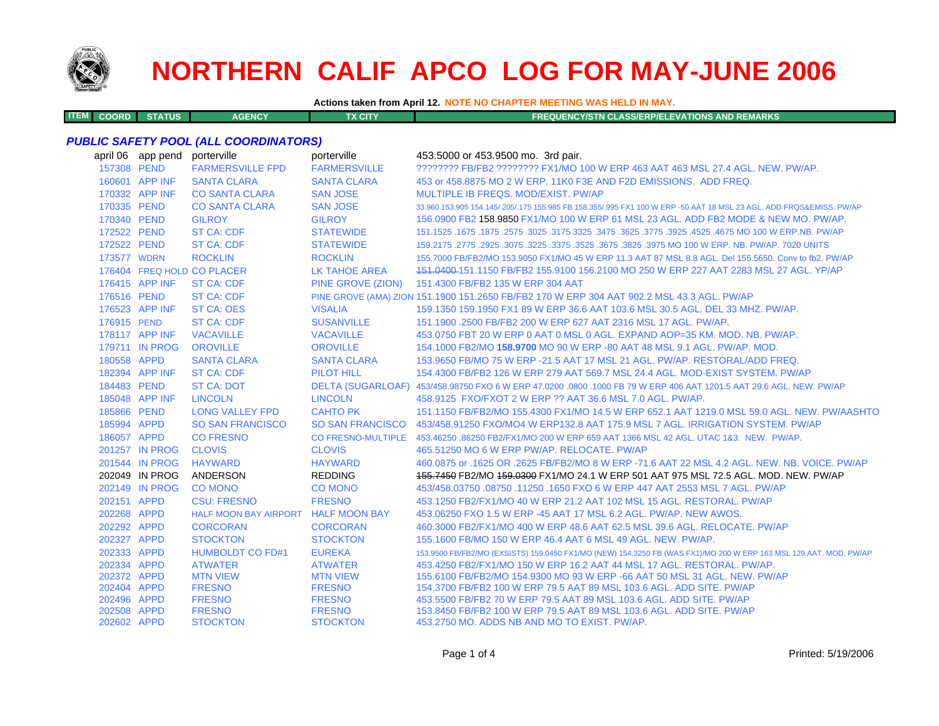

**ITEM**

# **NORTHERN CALIF APCO LOG FOR MAY-JUNE 2006**

**Actions taken from April 12. NOTE NO CHAPTER MEETING WAS HELD IN MAY.**

**COORD STATUS AGENCY TX CITY FREQUENCY/STN CLASS/ERP/ELEVATIONS AND REMARKS**

## *PUBLIC SAFETY POOL (ALL COORDINATORS)*

|             | april 06 app pend | porterville                         | porterville          | 453.5000 or 453.9500 mo. 3rd pair.                                                                                  |
|-------------|-------------------|-------------------------------------|----------------------|---------------------------------------------------------------------------------------------------------------------|
| 157308 PEND |                   | <b>FARMERSVILLE FPD</b>             | <b>FARMERSVILLE</b>  | ???????? FB/FB2 ???????? FX1/MO 100 W ERP 463 AAT 463 MSL 27.4 AGL. NEW. PW/AP.                                     |
|             | 160601 APP INF    | <b>SANTA CLARA</b>                  | <b>SANTA CLARA</b>   | 453 or 458,8875 MO 2 W ERP, 11K0 F3E AND F2D EMISSIONS. ADD FREQ.                                                   |
|             | 170332 APP INF    | <b>CO SANTA CLARA</b>               | <b>SAN JOSE</b>      | MULTIPLE IB FREQS, MOD/EXIST, PW/AP                                                                                 |
| 170335 PEND |                   | <b>CO SANTA CLARA</b>               | <b>SAN JOSE</b>      | 33.960 153.905 154.145/.205/.175 155.985 FB 158.355/.995 FX1 100 W ERP -50 AAT 18 MSL 23 AGL. ADD FRQS&EMISS. PW/AP |
| 170340 PEND |                   | <b>GILROY</b>                       | <b>GILROY</b>        | 156,0900 FB2 158,9850 FX1/MO 100 W ERP 61 MSL 23 AGL, ADD FB2 MODE & NEW MO, PW/AP.                                 |
| 172522 PEND |                   | <b>ST CA: CDF</b>                   | <b>STATEWIDE</b>     | 151.1525 .1675 .1875 .2575 .3025 .3475 .3625 .3775 .3625 .3775 .3925 .4525 .2677 .1675 .1675 .1675 .                |
| 172522 PEND |                   | <b>ST CA: CDF</b>                   | <b>STATEWIDE</b>     | 159.2175 .2775 .2925 .3075 .3225 .3675 .3675 .3825 .3975 MO 100 W ERP. NB. PW/AP. 7020 UNITS                        |
| 173577 WDRN |                   | <b>ROCKLIN</b>                      | <b>ROCKLIN</b>       | 155,7000 FB/FB2/MO 153,9050 FX1/MO 45 W ERP 11.3 AAT 87 MSL 8.8 AGL, Del 155,5650, Conv to fb2, PW/AP               |
|             |                   | 176404 FREQ HOLD CO PLACER          | <b>LK TAHOE AREA</b> | 151,0400-151,1150 FB/FB2 155,9100 156,2100 MO 250 W ERP 227 AAT 2283 MSL 27 AGL, YP/AP                              |
|             | 176415 APP INF    | <b>ST CA: CDF</b>                   | PINE GROVE (ZION)    | 151.4300 FB/FB2 135 W ERP 304 AAT                                                                                   |
| 176516 PEND |                   | <b>ST CA: CDF</b>                   |                      | PINE GROVE (AMA) ZION 151.1900 151.2650 FB/FB2 170 W ERP 304 AAT 902.2 MSL 43.3 AGL. PW/AP                          |
|             | 176523 APP INF    | <b>ST CA: OES</b>                   | <b>VISALIA</b>       | 159.1350 159.1950 FX1 89 W ERP 36.6 AAT 103.6 MSL 30.5 AGL. DEL 33 MHZ. PW/AP.                                      |
| 176915 PEND |                   | <b>ST CA: CDF</b>                   | <b>SUSANVILLE</b>    | 151.1900 .2500 FB/FB2 200 W ERP 627 AAT 2316 MSL 17 AGL, PW/AP.                                                     |
|             | 178117 APP INF    | <b>VACAVILLE</b>                    | <b>VACAVILLE</b>     | 453.0750 FBT 20 W ERP 0 AAT 0 MSL 0 AGL. EXPAND AOP=35 KM, MOD, NB, PW/AP.                                          |
|             | 179711 IN PROG    | <b>OROVILLE</b>                     | <b>OROVILLE</b>      | 154.1000 FB2/MO 158.9700 MO 90 W ERP -80 AAT 48 MSL 9.1 AGL, PW/AP, MOD,                                            |
| 180558 APPD |                   | <b>SANTA CLARA</b>                  | <b>SANTA CLARA</b>   | 153,9650 FB/MO 75 W ERP -21.5 AAT 17 MSL 21 AGL, PW/AP, RESTORAL/ADD FREQ.                                          |
|             | 182394 APP INF    | <b>ST CA: CDF</b>                   | <b>PILOT HILL</b>    | 154.4300 FB/FB2 126 W ERP 279 AAT 569.7 MSL 24.4 AGL, MOD-EXIST SYSTEM, PW/AP                                       |
| 184483 PEND |                   | <b>ST CA: DOT</b>                   |                      | DELTA (SUGARLOAF) 453/458.98750 FXO 6 W ERP 47.0200 .0800 .1000 FB 79 W ERP 406 AAT 1201.5 AAT 29.6 AGL. NEW. PW/AP |
|             | 185048 APP INF    | <b>LINCOLN</b>                      | <b>LINCOLN</b>       | 458.9125 FXO/FXOT 2 W ERP ?? AAT 36.6 MSL 7.0 AGL, PW/AP.                                                           |
| 185866 PEND |                   | <b>LONG VALLEY FPD</b>              | <b>CAHTO PK</b>      | 151.1150 FB/FB2/MO 155.4300 FX1/MO 14.5 W ERP 652.1 AAT 1219.0 MSL 59.0 AGL. NEW, PW/AASHTO                         |
| 185994 APPD |                   | <b>SO SAN FRANCISCO</b>             |                      | SO SAN FRANCISCO 453/458.91250 FXO/MO4 W ERP132.8 AAT 175.9 MSL 7 AGL. IRRIGATION SYSTEM. PW/AP                     |
| 186057 APPD |                   | <b>CO FRESNO</b>                    |                      | CO FRESNO-MULTIPLE 453.46250 .86250 FB2/FX1/MO 200 W ERP 659 AAT 1366 MSL 42 AGL. UTAC 1&3. NEW. PW/AP.             |
|             | 201257 IN PROG    | <b>CLOVIS</b>                       | <b>CLOVIS</b>        | 465.51250 MO 6 W ERP PW/AP, RELOCATE, PW/AP                                                                         |
|             | 201544 IN PROG    | <b>HAYWARD</b>                      | <b>HAYWARD</b>       | 460.0875 or .1625 OR .2625 FB/FB2/MO 8 W ERP -71.6 AAT 22 MSL 4.2 AGL. NEW. NB. VOICE. PW/AP                        |
|             | 202049 IN PROG    | ANDERSON                            | <b>REDDING</b>       | 155,7450 FB2/MO 159,0300 FX1/MO 24.1 W ERP 501 AAT 975 MSL 72.5 AGL, MOD, NEW, PW/AP                                |
|             | 202149 IN PROG    | <b>CO MONO</b>                      | <b>CO MONO</b>       | 453/458.03750 .08750 .11250 .1650 FXO 6 W ERP 447 AAT 2553 MSL 7 AGL, PW/AP                                         |
| 202151 APPD |                   | <b>CSU: FRESNO</b>                  | <b>FRESNO</b>        | 453.1250 FB2/FX1/MO 40 W ERP 21.2 AAT 102 MSL 15 AGL, RESTORAL, PW/AP                                               |
| 202268 APPD |                   | HALF MOON BAY AIRPORT HALF MOON BAY |                      | 453,06250 FXO 1.5 W ERP -45 AAT 17 MSL 6.2 AGL, PW/AP, NEW AWOS.                                                    |
| 202292 APPD |                   | <b>CORCORAN</b>                     | <b>CORCORAN</b>      | 460.3000 FB2/FX1/MO 400 W ERP 48.6 AAT 62.5 MSL 39.6 AGL, RELOCATE, PW/AP                                           |
| 202327 APPD |                   | <b>STOCKTON</b>                     | <b>STOCKTON</b>      | 155,1600 FB/MO 150 W ERP 46.4 AAT 6 MSL 49 AGL, NEW, PW/AP.                                                         |
| 202333 APPD |                   | <b>HUMBOLDT CO FD#1</b>             | <b>EUREKA</b>        | 153.9500 FB/FB2/MO (EXSISTS) 159.0450 FX1/MO (NEW) 154.3250 FB (WAS FX1)/MO 200 W ERP 163 MSL 129 AAT. MOD. PW/AP   |
| 202334 APPD |                   | <b>ATWATER</b>                      | <b>ATWATER</b>       | 453.4250 FB2/FX1/MO 150 W ERP 16.2 AAT 44 MSL 17 AGL, RESTORAL, PW/AP.                                              |
| 202372 APPD |                   | <b>MTN VIEW</b>                     | <b>MTN VIEW</b>      | 155,6100 FB/FB2/MO 154,9300 MO 93 W ERP -66 AAT 50 MSL 31 AGL, NEW, PW/AP                                           |
| 202404 APPD |                   | <b>FRESNO</b>                       | <b>FRESNO</b>        | 154,3700 FB/FB2 100 W ERP 79.5 AAT 89 MSL 103.6 AGL, ADD SITE, PW/AP                                                |
| 202496 APPD |                   | <b>FRESNO</b>                       | <b>FRESNO</b>        | 453,5500 FB/FB2 70 W ERP 79.5 AAT 89 MSL 103.6 AGL, ADD SITE, PW/AP                                                 |
| 202508 APPD |                   | <b>FRESNO</b>                       | <b>FRESNO</b>        | 153.8450 FB/FB2 100 W ERP 79.5 AAT 89 MSL 103.6 AGL. ADD SITE, PW/AP                                                |
| 202602 APPD |                   | <b>STOCKTON</b>                     | <b>STOCKTON</b>      | 453.2750 MO. ADDS NB AND MO TO EXIST. PW/AP.                                                                        |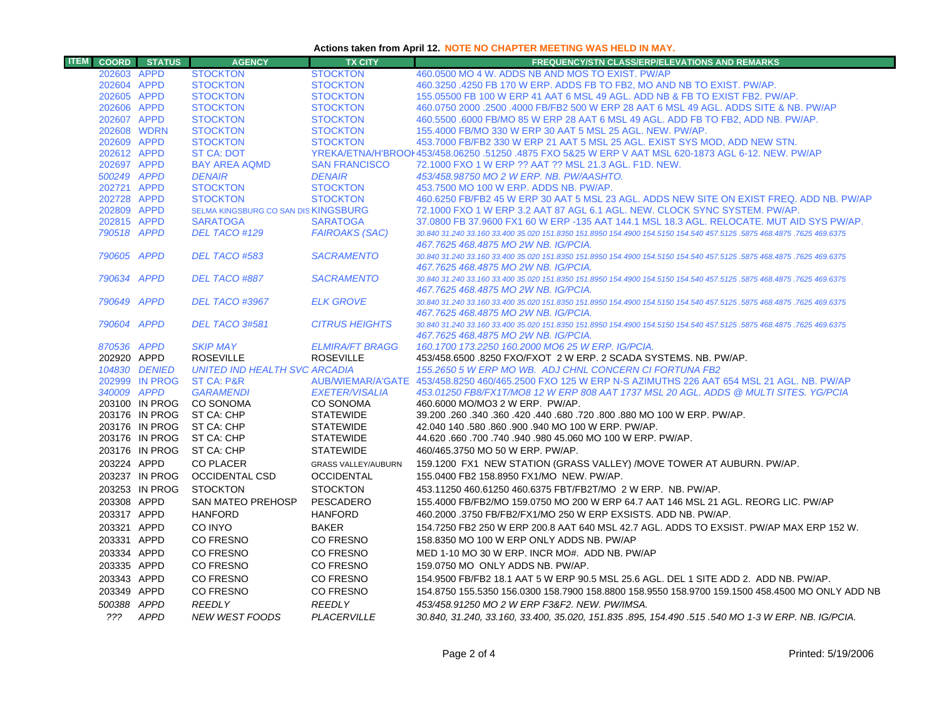# **Actions taken from April 12. NOTE NO CHAPTER MEETING WAS HELD IN MAY.**

| <b>ITEM</b> |                            | <b>COORD</b> STATUS              | <b>AGENCY</b>                        | <b>TX CITY</b>                     | <b>FREQUENCY/STN CLASS/ERP/ELEVATIONS AND REMARKS</b>                                                                                                                  |
|-------------|----------------------------|----------------------------------|--------------------------------------|------------------------------------|------------------------------------------------------------------------------------------------------------------------------------------------------------------------|
|             | 202603 APPD                |                                  | <b>STOCKTON</b>                      | <b>STOCKTON</b>                    | 460,0500 MO 4 W. ADDS NB AND MOS TO EXIST. PW/AP                                                                                                                       |
|             | 202604 APPD                |                                  | <b>STOCKTON</b>                      | <b>STOCKTON</b>                    | 460.3250 .4250 FB 170 W ERP. ADDS FB TO FB2, MO AND NB TO EXIST. PW/AP.                                                                                                |
|             | 202605 APPD                |                                  | <b>STOCKTON</b>                      | <b>STOCKTON</b>                    | 155,05500 FB 100 W ERP 41 AAT 6 MSL 49 AGL, ADD NB & FB TO EXIST FB2, PW/AP,                                                                                           |
|             | 202606 APPD                |                                  | <b>STOCKTON</b>                      | <b>STOCKTON</b>                    | 460.0750 2000 .2500 .4000 FB/FB2 500 W ERP 28 AAT 6 MSL 49 AGL. ADDS SITE & NB. PW/AP                                                                                  |
|             | 202607 APPD                |                                  | <b>STOCKTON</b>                      | <b>STOCKTON</b>                    | 460.5500 .6000 FB/MO 85 W ERP 28 AAT 6 MSL 49 AGL. ADD FB TO FB2, ADD NB. PW/AP.                                                                                       |
|             | 202608 WDRN                |                                  | <b>STOCKTON</b>                      | <b>STOCKTON</b>                    | 155,4000 FB/MO 330 W ERP 30 AAT 5 MSL 25 AGL, NEW, PW/AP.                                                                                                              |
|             | 202609 APPD                |                                  | <b>STOCKTON</b>                      | <b>STOCKTON</b>                    | 453.7000 FB/FB2 330 W ERP 21 AAT 5 MSL 25 AGL. EXIST SYS MOD, ADD NEW STN.                                                                                             |
|             | 202612 APPD                |                                  | <b>ST CA: DOT</b>                    |                                    | YREKA/ETNA/H'BROOI 453/458.06250 .51250 .4875 FXO 5&25 W ERP V AAT MSL 620-1873 AGL 6-12. NEW, PW/AP                                                                   |
|             | 202697 APPD                |                                  | <b>BAY AREA AQMD</b>                 | <b>SAN FRANCISCO</b>               | 72.1000 FXO 1 W ERP ?? AAT ?? MSL 21.3 AGL, F1D, NEW.                                                                                                                  |
|             | 500249 APPD                |                                  | <b>DENAIR</b>                        | <b>DENAIR</b>                      | 453/458.98750 MO 2 W ERP. NB. PW/AASHTO.                                                                                                                               |
|             | 202721 APPD                |                                  | <b>STOCKTON</b><br><b>STOCKTON</b>   | <b>STOCKTON</b><br><b>STOCKTON</b> | 453.7500 MO 100 W ERP. ADDS NB, PW/AP.                                                                                                                                 |
|             | 202728 APPD<br>202809 APPD |                                  | SELMA KINGSBURG CO SAN DIS KINGSBURG |                                    | 460.6250 FB/FB2 45 W ERP 30 AAT 5 MSL 23 AGL. ADDS NEW SITE ON EXIST FREQ. ADD NB. PW/AP<br>72.1000 FXO 1 W ERP 3.2 AAT 87 AGL 6.1 AGL. NEW. CLOCK SYNC SYSTEM. PW/AP. |
|             | 202815 APPD                |                                  | <b>SARATOGA</b>                      | <b>SARATOGA</b>                    | 37,0800 FB 37,9600 FX1 60 W ERP -135 AAT 144.1 MSL 18.3 AGL, RELOCATE, MUT AID SYS PW/AP.                                                                              |
|             | 790518 APPD                |                                  | DEL TACO #129                        | <b>FAIROAKS (SAC)</b>              | 30.840 31.240 33.160 33.400 35.020 151.8350 151.8950 154.4900 154.5150 154.540 457.5125 .5875 468.4875 .7625 469.6375                                                  |
|             |                            |                                  |                                      |                                    | 467.7625 468.4875 MO 2W NB. IG/PCIA.                                                                                                                                   |
|             | 790605 APPD                |                                  | DEL TACO #583                        | <b>SACRAMENTO</b>                  | 30.840 31.240 33.160 33.400 35.020 151.8350 151.8950 154.4900 154.5150 154.540 457.5125 .5875 468.4875 .7625 469.6375                                                  |
|             |                            |                                  |                                      |                                    | 467.7625 468.4875 MO 2W NB. IG/PCIA.                                                                                                                                   |
|             | 790634 APPD                |                                  | DEL TACO #887                        | <b>SACRAMENTO</b>                  | 30.840 31.240 33.160 33.400 35.020 151.8350 151.8950 154.4900 154.5150 154.540 457.5125 .5875 468.4875 .7625 469.6375                                                  |
|             |                            |                                  |                                      |                                    | 467.7625 468.4875 MO 2W NB, IG/PCIA,                                                                                                                                   |
|             | 790649 APPD                |                                  | <b>DEL TACO #3967</b>                | <b>ELK GROVE</b>                   | 30.840 31.240 33.160 33.400 35.020 151.8350 151.8950 154.4900 154.5150 154.540 457.5125 .5875 468.4875 .7625 469.6375                                                  |
|             |                            |                                  |                                      |                                    | 467.7625 468.4875 MO 2W NB. IG/PCIA.                                                                                                                                   |
|             | 790604 APPD                |                                  | DEL TACO 3#581                       | <b>CITRUS HEIGHTS</b>              | 30.840 31.240 33.160 33.400 35.020 151.8350 151.8950 154.4900 154.5150 154.540 457.5125 .5875 468.4875 .7625 469.6375                                                  |
|             |                            |                                  |                                      |                                    | 467.7625 468.4875 MO 2W NB. IG/PCIA.                                                                                                                                   |
|             | 870536 APPD                |                                  | <b>SKIP MAY</b>                      | <b>ELMIRA/FT BRAGG</b>             | 160.1700 173.2250 160.2000 MO6 25 W ERP. IG/PCIA.                                                                                                                      |
|             | 202920 APPD                |                                  | <b>ROSEVILLE</b>                     | <b>ROSEVILLE</b>                   | 453/458.6500 .8250 FXO/FXOT 2 W ERP. 2 SCADA SYSTEMS. NB. PW/AP.                                                                                                       |
|             |                            | 104830 DENIED                    | <b>UNITED IND HEALTH SVC ARCADIA</b> |                                    | 155.2650 5 W ERP MO WB. ADJ CHNL CONCERN CI FORTUNA FB2                                                                                                                |
|             |                            | 202999 IN PROG                   | <b>ST CA: P&amp;R</b>                |                                    | AUB/WIEMAR/A'GATE 453/458.8250 460/465.2500 FXO 125 W ERP N-S AZIMUTHS 226 AAT 654 MSL 21 AGL, NB, PW/AP                                                               |
|             | 340009 APPD                |                                  | <b>GARAMENDI</b>                     | <b>EXETER/VISALIA</b>              | 453.01250 FB8/FX1T/MO8 12 W ERP 808 AAT 1737 MSL 20 AGL. ADDS @ MULTI SITES, YG/PCIA                                                                                   |
|             |                            | 203100 IN PROG                   | <b>CO SONOMA</b><br>ST CA: CHP       | CO SONOMA<br><b>STATEWIDE</b>      | 460,6000 MO/MO3 2 W ERP. PW/AP.                                                                                                                                        |
|             |                            | 203176 IN PROG<br>203176 IN PROG | ST CA: CHP                           | <b>STATEWIDE</b>                   | 39.200 .260 .340 .360 .420 .440 .680 .720 .800 .880 MO 100 W ERP. PW/AP.<br>42.040 140 .580 .860 .900 .940 MO 100 W ERP. PW/AP.                                        |
|             |                            | 203176 IN PROG                   | ST CA: CHP                           | <b>STATEWIDE</b>                   | 44.620 .660 .700 .740 .940 .980 45.060 MO 100 W ERP. PW/AP.                                                                                                            |
|             |                            | 203176 IN PROG                   | ST CA: CHP                           | <b>STATEWIDE</b>                   | 460/465.3750 MO 50 W ERP. PW/AP.                                                                                                                                       |
|             |                            |                                  |                                      |                                    |                                                                                                                                                                        |
|             | 203224 APPD                |                                  | <b>CO PLACER</b>                     | <b>GRASS VALLEY/AUBURN</b>         | 159.1200 FX1 NEW STATION (GRASS VALLEY) /MOVE TOWER AT AUBURN. PW/AP.                                                                                                  |
|             |                            | 203237 IN PROG                   | <b>OCCIDENTAL CSD</b>                | <b>OCCIDENTAL</b>                  | 155.0400 FB2 158.8950 FX1/MO NEW. PW/AP.                                                                                                                               |
|             |                            | 203253 IN PROG                   | <b>STOCKTON</b>                      | <b>STOCKTON</b>                    | 453.11250 460.61250 460.6375 FBT/FB2T/MO 2 W ERP. NB. PW/AP.                                                                                                           |
|             | 203308 APPD                |                                  | SAN MATEO PREHOSP                    | PESCADERO                          | 155.4000 FB/FB2/MO 159.0750 MO 200 W ERP 64.7 AAT 146 MSL 21 AGL. REORG LIC. PW/AP                                                                                     |
|             | 203317 APPD                |                                  | <b>HANFORD</b>                       | <b>HANFORD</b>                     | 460.2000 .3750 FB/FB2/FX1/MO 250 W ERP EXSISTS, ADD NB, PW/AP,                                                                                                         |
|             | 203321 APPD                |                                  | CO INYO                              | <b>BAKER</b>                       | 154.7250 FB2 250 W ERP 200.8 AAT 640 MSL 42.7 AGL, ADDS TO EXSIST, PW/AP MAX ERP 152 W.                                                                                |
|             | 203331 APPD                |                                  | CO FRESNO                            | CO FRESNO                          | 158.8350 MO 100 W ERP ONLY ADDS NB. PW/AP                                                                                                                              |
|             | 203334 APPD                |                                  | CO FRESNO                            | CO FRESNO                          | MED 1-10 MO 30 W ERP. INCR MO#. ADD NB. PW/AP                                                                                                                          |
|             | 203335 APPD                |                                  | CO FRESNO                            | CO FRESNO                          | 159.0750 MO ONLY ADDS NB. PW/AP.                                                                                                                                       |
|             | 203343 APPD                |                                  | CO FRESNO                            | CO FRESNO                          | 154.9500 FB/FB2 18.1 AAT 5 W ERP 90.5 MSL 25.6 AGL. DEL 1 SITE ADD 2. ADD NB. PW/AP.                                                                                   |
|             | 203349 APPD                |                                  | CO FRESNO                            | CO FRESNO                          | 154.8750 155.5350 156.0300 158.7900 158.8800 158.9550 158.9700 159.1500 458.4500 MO ONLY ADD NB                                                                        |
|             | 500388 APPD                |                                  | <b>REEDLY</b>                        | <b>REEDLY</b>                      | 453/458.91250 MO 2 W ERP F3&F2, NEW, PW/IMSA,                                                                                                                          |
|             |                            | ??? APPD                         | <b>NEW WEST FOODS</b>                | PLACERVILLE                        | 30.840, 31.240, 33.160, 33.400, 35.020, 151.835 .895, 154.490 .515 .540 MO 1-3 W ERP. NB. IG/PCIA.                                                                     |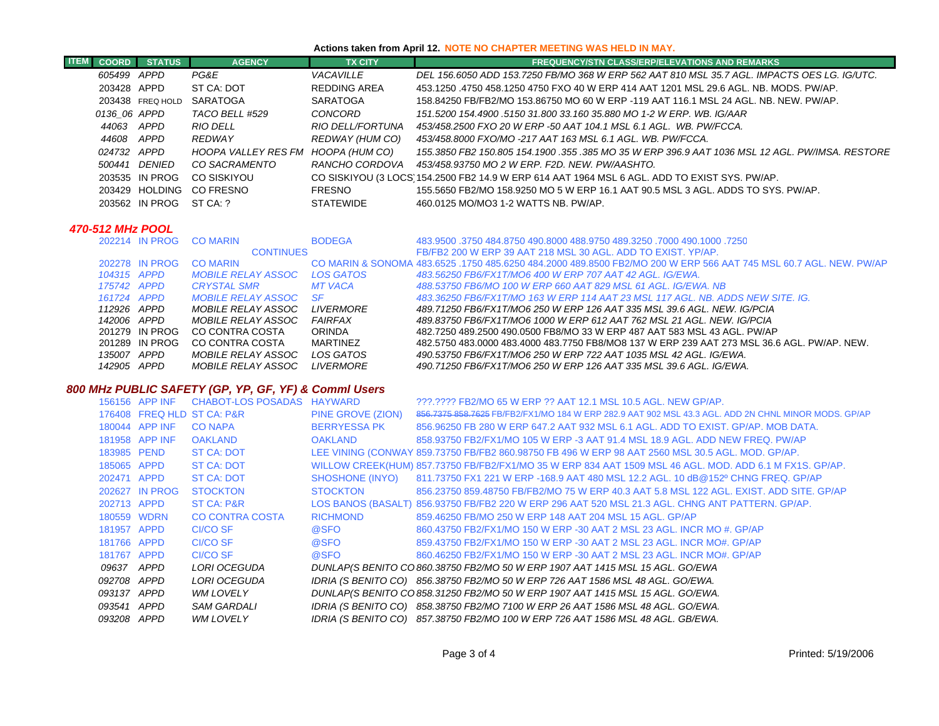# **Actions taken from April 12. NOTE NO CHAPTER MEETING WAS HELD IN MAY.**

| ITEN |              | <b>COORD</b> STATUS | <b>AGENCY</b>                      | <b>TX CITY</b>   | <b>FREQUENCY/STN CLASS/ERP/ELEVATIONS AND REMARKS</b>                                            |
|------|--------------|---------------------|------------------------------------|------------------|--------------------------------------------------------------------------------------------------|
|      | 605499 APPD  |                     | PG&E                               | VACAVILLE        | DEL 156.6050 ADD 153.7250 FB/MO 368 W ERP 562 AAT 810 MSL 35.7 AGL. IMPACTS OES LG. IG/UTC.      |
|      | 203428 APPD  |                     | ST CA: DOT                         | REDDING AREA     | 453.1250 .4750 458.1250 4750 FXO 40 W ERP 414 AAT 1201 MSL 29.6 AGL. NB. MODS. PW/AP.            |
|      |              | 203438 FREQ HOLD    | SARATOGA                           | SARATOGA         | 158.84250 FB/FB2/MO 153.86750 MO 60 W ERP -119 AAT 116.1 MSL 24 AGL, NB, NEW, PW/AP,             |
|      | 0136 06 APPD |                     | TACO BELL #529                     | CONCORD          | 151.5200 154.4900 .5150 31.800 33.160 35.880 MO 1-2 W ERP. WB. IG/AAR                            |
|      | 44063 APPD   |                     | RIO DELL                           | RIO DELL/FORTUNA | 453/458.2500 FXO 20 W ERP -50 AAT 104.1 MSL 6.1 AGL. WB. PW/FCCA.                                |
|      | 44608 APPD   |                     | REDWAY                             | REDWAY (HUM CO)  | 453/458.8000 FXO/MO -217 AAT 163 MSL 6.1 AGL, WB, PW/FCCA,                                       |
|      | 024732 APPD  |                     | HOOPA VALLEY RES FM HOOPA (HUM CO) |                  | .155.3850 FB2 150.805 154.1900 .355 .385 MO 35 W ERP 396.9 AAT 1036 MSL 12 AGL. PW/IMSA. RESTORE |
|      |              | 500441 DENIED       | CO SACRAMENTO                      | RANCHO CORDOVA   | 453/458.93750 MO 2 W ERP. F2D. NEW. PW/AASHTO.                                                   |
|      |              | 203535 IN PROG      | CO SISKIYOU                        |                  | CO SISKIYOU (3 LOCS 154.2500 FB2 14.9 W ERP 614 AAT 1964 MSL 6 AGL. ADD TO EXIST SYS. PW/AP.     |
|      |              | 203429 HOLDING      | CO FRESNO                          | FRESNO           | 155,5650 FB2/MO 158,9250 MO 5 W ERP 16.1 AAT 90.5 MSL 3 AGL. ADDS TO SYS, PW/AP.                 |
|      |              | 203562 IN PROG      | ST CA: ?                           | <b>STATEWIDE</b> | 460.0125 MO/MO3 1-2 WATTS NB. PW/AP.                                                             |

#### *470-512 MHz POOL*

| 202214 IN PROG | <b>CO MARIN</b>           | <b>BODEGA</b>    | 483.9500 .3750 484.8750 490.8000 488.9750 489.3250 .7000 490.1000 .3750                                           |
|----------------|---------------------------|------------------|-------------------------------------------------------------------------------------------------------------------|
|                | <b>CONTINUES</b>          |                  | FB/FB2 200 W ERP 39 AAT 218 MSL 30 AGL. ADD TO EXIST, YP/AP.                                                      |
| 202278 IN PROG | <b>CO MARIN</b>           |                  | CO MARIN & SONOMA 483,6525, 1750 485,6250 484,2000 489,8500 FB2/MO 200 W ERP 566 AAT 745 MSL 60.7 AGL, NEW, PW/AP |
| 104315 APPD    | <i>MOBILE RELAY ASSOC</i> | LOS GATOS        | 483.56250 FB6/FX1T/MO6 400 W ERP 707 AAT 42 AGL. IG/EWA.                                                          |
| 175742 APPD    | <b>CRYSTAL SMR</b>        | <b>MT VACA</b>   | 488.53750 FB6/MO 100 W ERP 660 AAT 829 MSL 61 AGL, IG/EWA, NB                                                     |
| 161724 APPD    | MOBILE RELAY ASSOC        | -SF              | 483.36250 FB6/FX1T/MO 163 W ERP 114 AAT 23 MSL 117 AGL. NB. ADDS NEW SITE. IG.                                    |
| 112926 APPD    | MOBILE RELAY ASSOC        | <b>LIVERMORE</b> | 489.71250 FB6/FX1T/MO6 250 W ERP 126 AAT 335 MSL 39.6 AGL. NEW. IG/PCIA                                           |
| 142006 APPD    | MOBILE RELAY ASSOC        | <b>FAIRFAX</b>   | 489.83750 FB6/FX1T/MO6 1000 W ERP 612 AAT 762 MSL 21 AGL. NEW. IG/PCIA                                            |
| 201279 IN PROG | CO CONTRA COSTA           | <b>ORINDA</b>    | 482.7250 489.2500 490.0500 FB8/MO 33 W ERP 487 AAT 583 MSL 43 AGL. PW/AP                                          |
| 201289 IN PROG | CO CONTRA COSTA           | MARTINEZ         | 482.5750 483.0000 483.4000 483.7750 FB8/MO8 137 W ERP 239 AAT 273 MSL 36.6 AGL. PW/AP. NEW.                       |
| 135007 APPD    | MOBILE RELAY ASSOC        | LOS GATOS        | 490.53750 FB6/FX1T/MO6 250 W ERP 722 AAT 1035 MSL 42 AGL. IG/EWA.                                                 |
| 142905 APPD    | MOBILE RELAY ASSOC        | <b>LIVERMORE</b> | 490.71250 FB6/FX1T/MO6 250 W ERP 126 AAT 335 MSL 39.6 AGL. IG/EWA.                                                |

# *800 MHz PUBLIC SAFETY (GP, YP, GF, YF) & Comml Users*

| 156156 APP INF             | CHABOT-LOS POSADAS HAYWARD |                   | ???.???? FB2/MO 65 W ERP ?? AAT 12.1 MSL 10.5 AGL. NEW GP/AP.                                           |
|----------------------------|----------------------------|-------------------|---------------------------------------------------------------------------------------------------------|
| 176408 FREQ HLD ST CA: P&R |                            | PINE GROVE (ZION) | 856.7375 858.7625 FB/FB2/FX1/MO 184 W ERP 282.9 AAT 902 MSL 43.3 AGL. ADD 2N CHNL MINOR MODS. GP/AP     |
| 180044 APP INF             | <b>CO NAPA</b>             | BERRYESSA PK      | 856,96250 FB 280 W ERP 647.2 AAT 932 MSL 6.1 AGL, ADD TO EXIST, GP/AP, MOB DATA,                        |
| 181958 APP INF             | OAKLAND                    | OAKLAND           | 858.93750 FB2/FX1/MO 105 W ERP -3 AAT 91.4 MSL 18.9 AGL, ADD NEW FREQ, PW/AP                            |
| 183985 PEND                | <b>ST CA: DOT</b>          |                   | LEE VINING (CONWAY 859.73750 FB/FB2 860.98750 FB 496 W ERP 98 AAT 2560 MSL 30.5 AGL. MOD. GP/AP.        |
| 185065 APPD                | <b>ST CA: DOT</b>          |                   | WILLOW CREEK(HUM) 857.73750 FB/FB2/FX1/MO 35 W ERP 834 AAT 1509 MSL 46 AGL. MOD. ADD 6.1 M FX1S. GP/AP. |
| 202471 APPD                | <b>ST CA: DOT</b>          |                   | SHOSHONE (INYO) 811.73750 FX1 221 W ERP -168.9 AAT 480 MSL 12.2 AGL. 10 dB@152º CHNG FREQ. GP/AP        |
| 202627 IN PROG             | <b>STOCKTON</b>            | <b>STOCKTON</b>   | 856.23750 859.48750 FB/FB2/MO 75 W ERP 40.3 AAT 5.8 MSL 122 AGL, EXIST, ADD SITE, GP/AP                 |
| 202713 APPD                | ST CA: P&R                 |                   | LOS BANOS (BASALT) 856.93750 FB/FB2 220 W ERP 296 AAT 520 MSL 21.3 AGL. CHNG ANT PATTERN. GP/AP.        |
| 180559 WDRN                | <b>CO CONTRA COSTA</b>     | <b>RICHMOND</b>   | 859.46250 FB/MO 250 W ERP 148 AAT 204 MSL 15 AGL, GP/AP                                                 |
| 181957 APPD                | CI/CO SF                   | @SFO              | 860.43750 FB2/FX1/MO 150 W ERP -30 AAT 2 MSL 23 AGL. INCR MO #, GP/AP                                   |
| 181766 APPD                | CI/CO SF                   | @SFO              | 859.43750 FB2/FX1/MO 150 W ERP -30 AAT 2 MSL 23 AGL. INCR MO#. GP/AP                                    |
| 181767 APPD                | CI/CO SF                   | @SFO              | 860.46250 FB2/FX1/MO 150 W ERP -30 AAT 2 MSL 23 AGL. INCR MO#. GP/AP                                    |
| 09637 APPD                 | LORI OCEGUDA               |                   | DUNLAP(S BENITO CO 860.38750 FB2/MO 50 W ERP 1907 AAT 1415 MSL 15 AGL. GO/EWA                           |
| 092708 APPD                | LORI OCEGUDA               |                   | IDRIA (S BENITO CO) 856.38750 FB2/MO 50 W ERP 726 AAT 1586 MSL 48 AGL. GO/EWA.                          |
| 093137 APPD                | <b>WM LOVELY</b>           |                   | DUNLAP(S BENITO CO 858.31250 FB2/MO 50 W ERP 1907 AAT 1415 MSL 15 AGL. GO/EWA.                          |
| 093541 APPD                | <b>SAM GARDALI</b>         |                   | IDRIA (S BENITO CO) 858.38750 FB2/MO 7100 W ERP 26 AAT 1586 MSL 48 AGL. GO/EWA.                         |
| 093208 APPD                | <b>WM LOVELY</b>           |                   | IDRIA (S BENITO CO) 857.38750 FB2/MO 100 W ERP 726 AAT 1586 MSL 48 AGL. GB/EWA.                         |